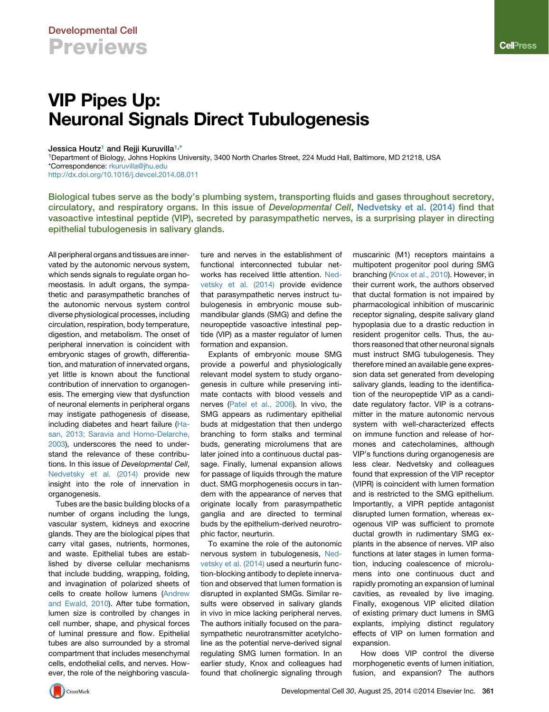## **Neuronal Sign** Neuronal Signals Direct Tubulogenesis

## Jessica Houtz<sup>[1](#page-0-0)</sup> and Rejji Kuruvilla<sup>1,[\\*](#page-0-1)</sup>

<span id="page-0-1"></span><span id="page-0-0"></span>1Department of Biology, Johns Hopkins University, 3400 North Charles Street, 224 Mudd Hall, Baltimore, MD 21218, USA \*Correspondence: [rkuruvilla@jhu.edu](mailto:rkuruvilla@jhu.edu) <http://dx.doi.org/10.1016/j.devcel.2014.08.011>

Biological tubes serve as the body's plumbing system, transporting fluids and gases throughout secretory, circulatory, and respiratory organs. In this issue of Developmental Cell, [Nedvetsky et al. \(2014\)](#page-1-0) find that vasoactive intestinal peptide (VIP), secreted by parasympathetic nerves, is a surprising player in directing epithelial tubulogenesis in salivary glands.

All peripheral organs and tissues are innervated by the autonomic nervous system, which sends signals to regulate organ homeostasis. In adult organs, the sympathetic and parasympathetic branches of the autonomic nervous system control diverse physiological processes, including circulation, respiration, body temperature, digestion, and metabolism. The onset of peripheral innervation is coincident with embryonic stages of growth, differentiation, and maturation of innervated organs, yet little is known about the functional contribution of innervation to organogenesis. The emerging view that dysfunction of neuronal elements in peripheral organs may instigate pathogenesis of disease, including diabetes and heart failure ([Ha](#page-1-1)[san, 2013; Saravia and Homo-Delarche,](#page-1-1) [2003\)](#page-1-1), underscores the need to understand the relevance of these contributions. In this issue of *Developmental Cell*, [Nedvetsky et al. \(2014\)](#page-1-0) provide new insight into the role of innervation in organogenesis.

Tubes are the basic building blocks of a number of organs including the lungs, vascular system, kidneys and exocrine glands. They are the biological pipes that carry vital gases, nutrients, hormones, and waste. Epithelial tubes are established by diverse cellular mechanisms that include budding, wrapping, folding, and invagination of polarized sheets of cells to create hollow lumens ([Andrew](#page-1-2) [and Ewald, 2010](#page-1-2)). After tube formation, lumen size is controlled by changes in cell number, shape, and physical forces of luminal pressure and flow. Epithelial tubes are also surrounded by a stromal compartment that includes mesenchymal cells, endothelial cells, and nerves. However, the role of the neighboring vasculature and nerves in the establishment of functional interconnected tubular networks has received little attention. [Ned](#page-1-0)[vetsky et al. \(2014\)](#page-1-0) provide evidence that parasympathetic nerves instruct tubulogenesis in embryonic mouse submandibular glands (SMG) and define the neuropeptide vasoactive intestinal peptide (VIP) as a master regulator of lumen formation and expansion.

Explants of embryonic mouse SMG provide a powerful and physiologically relevant model system to study organogenesis in culture while preserving intimate contacts with blood vessels and nerves [\(Patel et al., 2006\)](#page-1-3). In vivo, the SMG appears as rudimentary epithelial buds at midgestation that then undergo branching to form stalks and terminal buds, generating microlumens that are later joined into a continuous ductal passage. Finally, lumenal expansion allows for passage of liquids through the mature duct. SMG morphogenesis occurs in tandem with the appearance of nerves that originate locally from parasympathetic ganglia and are directed to terminal buds by the epithelium-derived neurotrophic factor, neurturin.

To examine the role of the autonomic nervous system in tubulogenesis, [Ned](#page-1-0)[vetsky et al. \(2014\)](#page-1-0) used a neurturin function-blocking antibody to deplete innervation and observed that lumen formation is disrupted in explanted SMGs. Similar results were observed in salivary glands in vivo in mice lacking peripheral nerves. The authors initially focused on the parasympathetic neurotransmitter acetylcholine as the potential nerve-derived signal regulating SMG lumen formation. In an earlier study, Knox and colleagues had found that cholinergic signaling through muscarinic (M1) receptors maintains a multipotent progenitor pool during SMG branching ([Knox et al., 2010](#page-1-4)). However, in their current work, the authors observed that ductal formation is not impaired by pharmacological inhibition of muscarinic receptor signaling, despite salivary gland hypoplasia due to a drastic reduction in resident progenitor cells. Thus, the authors reasoned that other neuronal signals must instruct SMG tubulogenesis. They therefore mined an available gene expression data set generated from developing salivary glands, leading to the identification of the neuropeptide VIP as a candidate regulatory factor. VIP is a cotransmitter in the mature autonomic nervous system with well-characterized effects on immune function and release of hormones and catecholamines, although VIP's functions during organogenesis are less clear. Nedvetsky and colleagues found that expression of the VIP receptor (VIPR) is coincident with lumen formation and is restricted to the SMG epithelium. Importantly, a VIPR peptide antagonist disrupted lumen formation, whereas exogenous VIP was sufficient to promote ductal growth in rudimentary SMG explants in the absence of nerves. VIP also functions at later stages in lumen formation, inducing coalescence of microlumens into one continuous duct and rapidly promoting an expansion of luminal cavities, as revealed by live imaging. Finally, exogenous VIP elicited dilation of existing primary duct lumens in SMG explants, implying distinct regulatory effects of VIP on lumen formation and expansion.

How does VIP control the diverse morphogenetic events of lumen initiation, fusion, and expansion? The authors